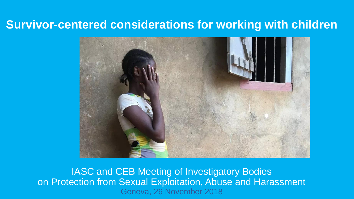### **Survivor-centered considerations for working with children**



IASC and CEB Meeting of Investigatory Bodies on Protection from Sexual Exploitation, Abuse and Harassment Geneva, 26 November 2018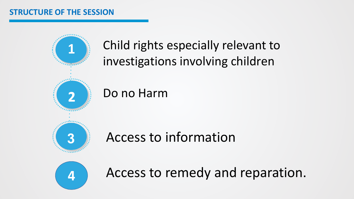#### **STRUCTURE OF THE SESSION**



Child rights especially relevant to investigations involving children

Do no Harm

Access to information



**4** Access to remedy and reparation.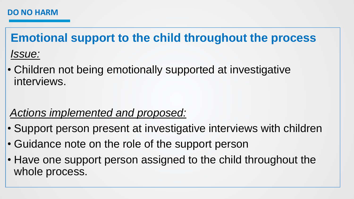**Emotional support to the child throughout the process** *Issue:*

• Children not being emotionally supported at investigative interviews.

### *Actions implemented and proposed:*

- Support person present at investigative interviews with children
- Guidance note on the role of the support person
- Have one support person assigned to the child throughout the whole process.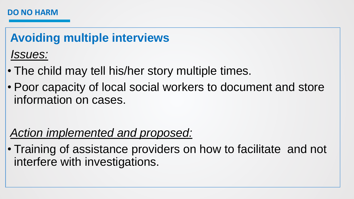#### **DO NO HARM**

# **Avoiding multiple interviews** *Issues:*

- The child may tell his/her story multiple times.
- Poor capacity of local social workers to document and store information on cases.

## *Action implemented and proposed:*

• Training of assistance providers on how to facilitate and not interfere with investigations.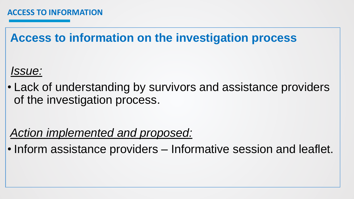**Access to information on the investigation process** 

*Issue:*

• Lack of understanding by survivors and assistance providers of the investigation process.

*Action implemented and proposed:*

• Inform assistance providers – Informative session and leaflet.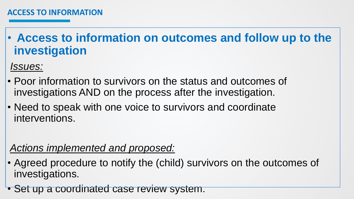• **Access to information on outcomes and follow up to the investigation**

*Issues:*

- Poor information to survivors on the status and outcomes of investigations AND on the process after the investigation.
- Need to speak with one voice to survivors and coordinate interventions.

#### *Actions implemented and proposed:*

- Agreed procedure to notify the (child) survivors on the outcomes of investigations.
- Set up a coordinated case review system.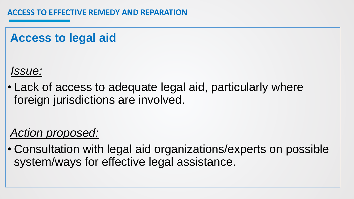## **Access to legal aid**

*Issue:*

• Lack of access to adequate legal aid, particularly where foreign jurisdictions are involved.

## *Action proposed:*

• Consultation with legal aid organizations/experts on possible system/ways for effective legal assistance.